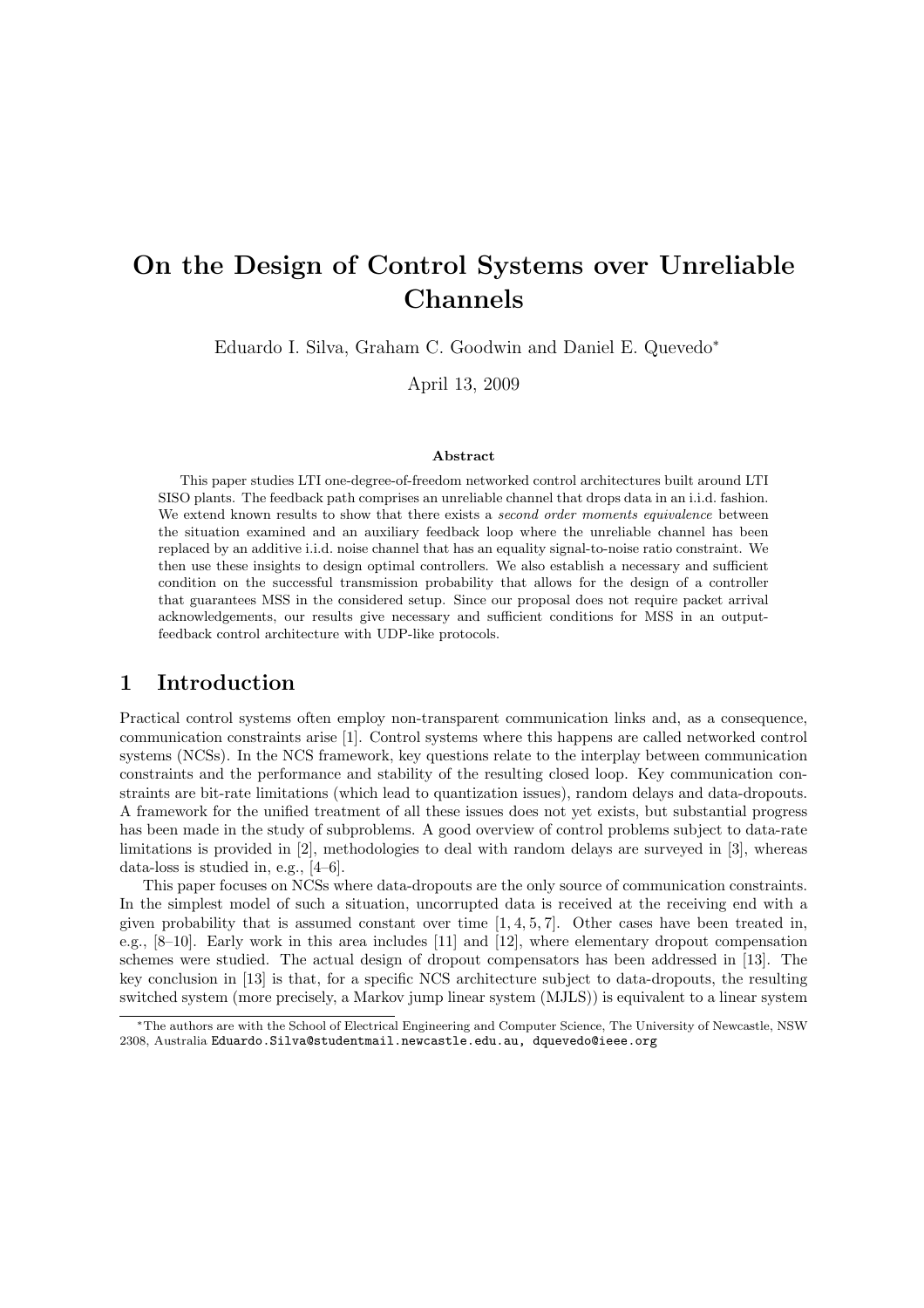# On the Design of Control Systems over Unreliable Channels

Eduardo I. Silva, Graham C. Goodwin and Daniel E. Quevedo<sup>∗</sup>

April 13, 2009

#### Abstract

This paper studies LTI one-degree-of-freedom networked control architectures built around LTI SISO plants. The feedback path comprises an unreliable channel that drops data in an i.i.d. fashion. We extend known results to show that there exists a *second order moments equivalence* between the situation examined and an auxiliary feedback loop where the unreliable channel has been replaced by an additive i.i.d. noise channel that has an equality signal-to-noise ratio constraint. We then use these insights to design optimal controllers. We also establish a necessary and sufficient condition on the successful transmission probability that allows for the design of a controller that guarantees MSS in the considered setup. Since our proposal does not require packet arrival acknowledgements, our results give necessary and sufficient conditions for MSS in an outputfeedback control architecture with UDP-like protocols.

#### 1 Introduction

Practical control systems often employ non-transparent communication links and, as a consequence, communication constraints arise [1]. Control systems where this happens are called networked control systems (NCSs). In the NCS framework, key questions relate to the interplay between communication constraints and the performance and stability of the resulting closed loop. Key communication constraints are bit-rate limitations (which lead to quantization issues), random delays and data-dropouts. A framework for the unified treatment of all these issues does not yet exists, but substantial progress has been made in the study of subproblems. A good overview of control problems subject to data-rate limitations is provided in [2], methodologies to deal with random delays are surveyed in [3], whereas data-loss is studied in, e.g., [4–6].

This paper focuses on NCSs where data-dropouts are the only source of communication constraints. In the simplest model of such a situation, uncorrupted data is received at the receiving end with a given probability that is assumed constant over time  $[1, 4, 5, 7]$ . Other cases have been treated in, e.g., [8–10]. Early work in this area includes [11] and [12], where elementary dropout compensation schemes were studied. The actual design of dropout compensators has been addressed in [13]. The key conclusion in [13] is that, for a specific NCS architecture subject to data-dropouts, the resulting switched system (more precisely, a Markov jump linear system (MJLS)) is equivalent to a linear system

<sup>∗</sup>The authors are with the School of Electrical Engineering and Computer Science, The University of Newcastle, NSW 2308, Australia Eduardo.Silva@studentmail.newcastle.edu.au, dquevedo@ieee.org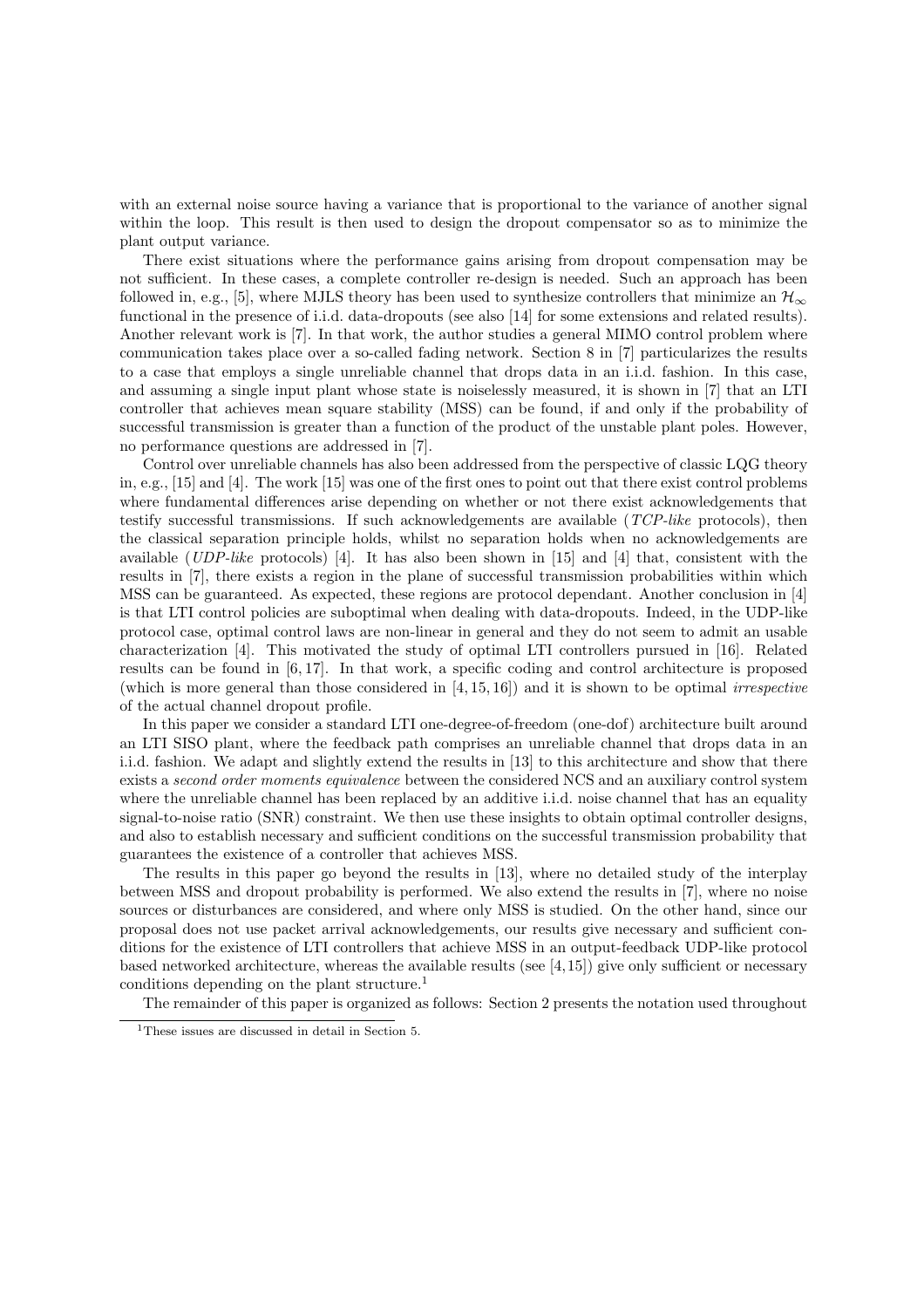with an external noise source having a variance that is proportional to the variance of another signal within the loop. This result is then used to design the dropout compensator so as to minimize the plant output variance.

There exist situations where the performance gains arising from dropout compensation may be not sufficient. In these cases, a complete controller re-design is needed. Such an approach has been followed in, e.g., [5], where MJLS theory has been used to synthesize controllers that minimize an  $\mathcal{H}_{\infty}$ functional in the presence of i.i.d. data-dropouts (see also [14] for some extensions and related results). Another relevant work is [7]. In that work, the author studies a general MIMO control problem where communication takes place over a so-called fading network. Section 8 in [7] particularizes the results to a case that employs a single unreliable channel that drops data in an i.i.d. fashion. In this case, and assuming a single input plant whose state is noiselessly measured, it is shown in [7] that an LTI controller that achieves mean square stability (MSS) can be found, if and only if the probability of successful transmission is greater than a function of the product of the unstable plant poles. However, no performance questions are addressed in [7].

Control over unreliable channels has also been addressed from the perspective of classic LQG theory in, e.g., [15] and [4]. The work [15] was one of the first ones to point out that there exist control problems where fundamental differences arise depending on whether or not there exist acknowledgements that testify successful transmissions. If such acknowledgements are available  $(TCP-like)$  protocols), then the classical separation principle holds, whilst no separation holds when no acknowledgements are available (UDP-like protocols) [4]. It has also been shown in [15] and [4] that, consistent with the results in [7], there exists a region in the plane of successful transmission probabilities within which MSS can be guaranteed. As expected, these regions are protocol dependant. Another conclusion in [4] is that LTI control policies are suboptimal when dealing with data-dropouts. Indeed, in the UDP-like protocol case, optimal control laws are non-linear in general and they do not seem to admit an usable characterization [4]. This motivated the study of optimal LTI controllers pursued in [16]. Related results can be found in [6, 17]. In that work, a specific coding and control architecture is proposed (which is more general than those considered in  $[4, 15, 16]$ ) and it is shown to be optimal *irrespective* of the actual channel dropout profile.

In this paper we consider a standard LTI one-degree-of-freedom (one-dof) architecture built around an LTI SISO plant, where the feedback path comprises an unreliable channel that drops data in an i.i.d. fashion. We adapt and slightly extend the results in [13] to this architecture and show that there exists a *second order moments equivalence* between the considered NCS and an auxiliary control system where the unreliable channel has been replaced by an additive i.i.d. noise channel that has an equality signal-to-noise ratio (SNR) constraint. We then use these insights to obtain optimal controller designs, and also to establish necessary and sufficient conditions on the successful transmission probability that guarantees the existence of a controller that achieves MSS.

The results in this paper go beyond the results in [13], where no detailed study of the interplay between MSS and dropout probability is performed. We also extend the results in [7], where no noise sources or disturbances are considered, and where only MSS is studied. On the other hand, since our proposal does not use packet arrival acknowledgements, our results give necessary and sufficient conditions for the existence of LTI controllers that achieve MSS in an output-feedback UDP-like protocol based networked architecture, whereas the available results (see [4,15]) give only sufficient or necessary conditions depending on the plant structure.<sup>1</sup>

The remainder of this paper is organized as follows: Section 2 presents the notation used throughout

<sup>&</sup>lt;sup>1</sup>These issues are discussed in detail in Section 5.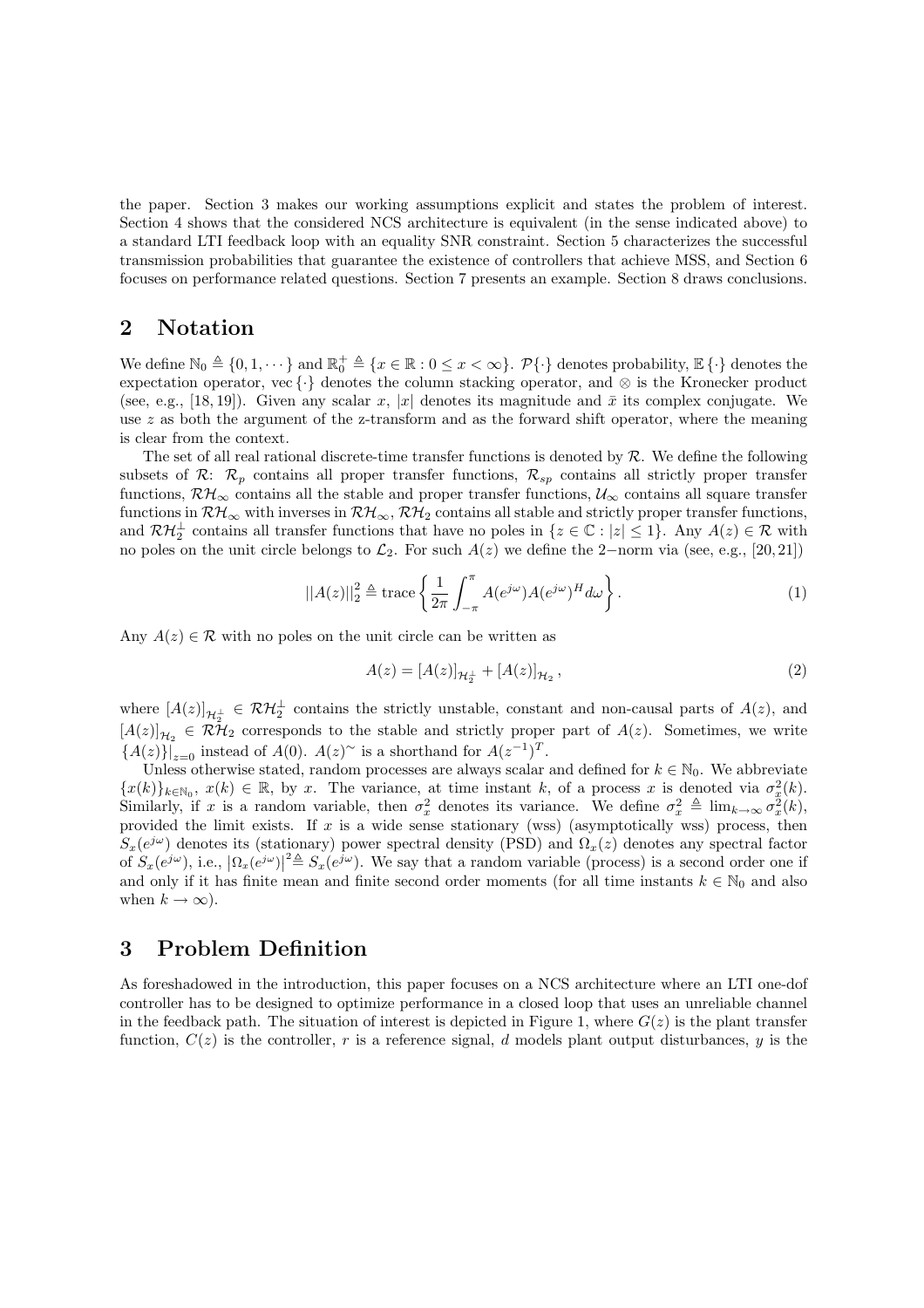the paper. Section 3 makes our working assumptions explicit and states the problem of interest. Section 4 shows that the considered NCS architecture is equivalent (in the sense indicated above) to a standard LTI feedback loop with an equality SNR constraint. Section 5 characterizes the successful transmission probabilities that guarantee the existence of controllers that achieve MSS, and Section 6 focuses on performance related questions. Section 7 presents an example. Section 8 draws conclusions.

#### 2 Notation

We define  $\mathbb{N}_0 \triangleq \{0, 1, \dots\}$  and  $\mathbb{R}_0^+ \triangleq \{x \in \mathbb{R} : 0 \leq x < \infty\}$ .  $\mathcal{P}\{\cdot\}$  denotes probability,  $\mathbb{E}\{\cdot\}$  denotes the expectation operator, vec {·} denotes the column stacking operator, and ⊗ is the Kronecker product (see, e.g., [18, 19]). Given any scalar x, |x| denotes its magnitude and  $\bar{x}$  its complex conjugate. We use  $z$  as both the argument of the z-transform and as the forward shift operator, where the meaning is clear from the context.

The set of all real rational discrete-time transfer functions is denoted by  $R$ . We define the following subsets of R:  $\mathcal{R}_p$  contains all proper transfer functions,  $\mathcal{R}_{sp}$  contains all strictly proper transfer functions,  $\mathcal{RH}_{\infty}$  contains all the stable and proper transfer functions,  $\mathcal{U}_{\infty}$  contains all square transfer functions in  $\mathcal{RH}_{\infty}$  with inverses in  $\mathcal{RH}_{\infty}$ ,  $\mathcal{RH}_2$  contains all stable and strictly proper transfer functions, and  $\mathcal{RH}_2^{\perp}$  contains all transfer functions that have no poles in  $\{z \in \mathbb{C} : |z| \leq 1\}$ . Any  $A(z) \in \mathcal{R}$  with no poles on the unit circle belongs to  $\mathcal{L}_2$ . For such  $A(z)$  we define the 2−norm via (see, e.g., [20, 21])

$$
||A(z)||_2^2 \triangleq \text{trace}\left\{\frac{1}{2\pi} \int_{-\pi}^{\pi} A(e^{j\omega}) A(e^{j\omega})^H d\omega\right\}.
$$
 (1)

Any  $A(z) \in \mathcal{R}$  with no poles on the unit circle can be written as

$$
A(z) = [A(z)]_{\mathcal{H}_2^{\perp}} + [A(z)]_{\mathcal{H}_2},\tag{2}
$$

where  $[A(z)]_{\mathcal{H}_{\mathcal{F}}^{\perp}} \in \mathcal{RH}_{2}^{\perp}$  contains the strictly unstable, constant and non-causal parts of  $A(z)$ , and  $[A(z)]_{\mathcal{H}_2} \in \mathcal{RH}_2$  corresponds to the stable and strictly proper part of  $A(z)$ . Sometimes, we write  ${A(z)}|_{z=0}$  instead of  $A(0)$ .  $A(z)$ <sup>~</sup> is a shorthand for  $A(z^{-1})^T$ .

Unless otherwise stated, random processes are always scalar and defined for  $k \in \mathbb{N}_0$ . We abbreviate  $\{x(k)\}_{k\in\mathbb{N}_0}, x(k)\in\mathbb{R}, \text{ by } x.$  The variance, at time instant k, of a process x is denoted via  $\sigma_x^2(k)$ . Similarly, if x is a random variable, then  $\sigma_x^2$  denotes its variance. We define  $\sigma_x^2 \triangleq \lim_{k\to\infty} \sigma_x^2(k)$ , provided the limit exists. If x is a wide sense stationary (wss) (asymptotically wss) process, then  $S_x(e^{j\omega})$  denotes its (stationary) power spectral density (PSD) and  $\Omega_x(z)$  denotes any spectral factor of  $S_x(e^{j\omega})$ , i.e.,  $|\Omega_x(e^{j\omega})|^2 \triangleq S_x(e^{j\omega})$ . We say that a random variable (process) is a second order one if and only if it has finite mean and finite second order moments (for all time instants  $k \in \mathbb{N}_0$  and also when  $k \to \infty$ ).

# 3 Problem Definition

As foreshadowed in the introduction, this paper focuses on a NCS architecture where an LTI one-dof controller has to be designed to optimize performance in a closed loop that uses an unreliable channel in the feedback path. The situation of interest is depicted in Figure 1, where  $G(z)$  is the plant transfer function,  $C(z)$  is the controller, r is a reference signal, d models plant output disturbances, y is the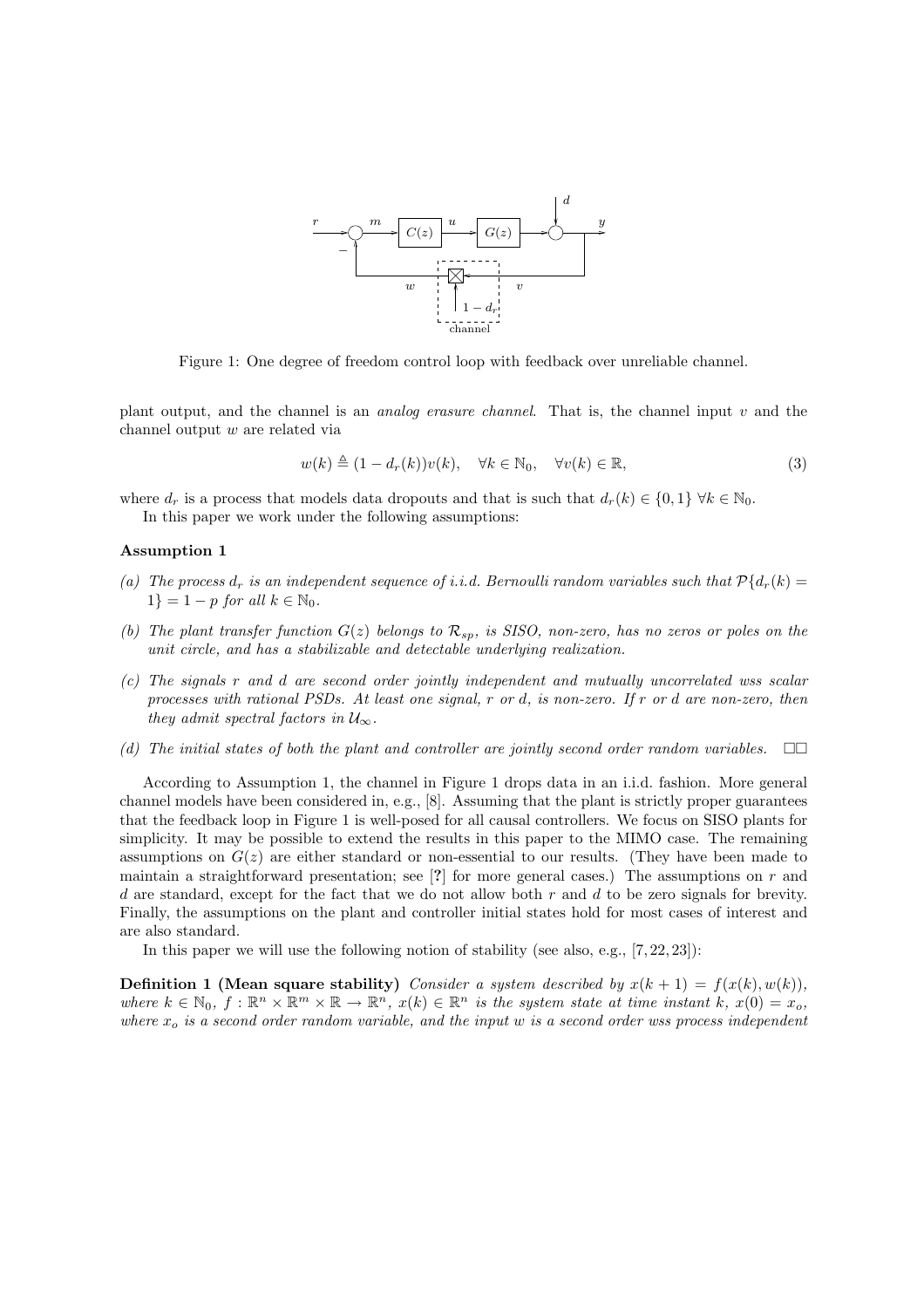

Figure 1: One degree of freedom control loop with feedback over unreliable channel.

plant output, and the channel is an analog erasure channel. That is, the channel input v and the channel output w are related via

$$
w(k) \triangleq (1 - d_r(k))v(k), \quad \forall k \in \mathbb{N}_0, \quad \forall v(k) \in \mathbb{R},
$$
\n(3)

where  $d_r$  is a process that models data dropouts and that is such that  $d_r(k) \in \{0,1\}$   $\forall k \in \mathbb{N}_0$ . In this paper we work under the following assumptions:

#### Assumption 1

- (a) The process  $d_r$  is an independent sequence of i.i.d. Bernoulli random variables such that  $\mathcal{P}\{d_r(k) =$  $1$ } = 1 – p for all  $k \in \mathbb{N}_0$ .
- (b) The plant transfer function  $G(z)$  belongs to  $\mathcal{R}_{sp}$ , is SISO, non-zero, has no zeros or poles on the unit circle, and has a stabilizable and detectable underlying realization.
- (c) The signals r and d are second order jointly independent and mutually uncorrelated wss scalar processes with rational PSDs. At least one signal, r or d, is non-zero. If r or d are non-zero, then they admit spectral factors in  $\mathcal{U}_{\infty}$ .
- (d) The initial states of both the plant and controller are jointly second order random variables.  $\square\square$

According to Assumption 1, the channel in Figure 1 drops data in an i.i.d. fashion. More general channel models have been considered in, e.g., [8]. Assuming that the plant is strictly proper guarantees that the feedback loop in Figure 1 is well-posed for all causal controllers. We focus on SISO plants for simplicity. It may be possible to extend the results in this paper to the MIMO case. The remaining assumptions on  $G(z)$  are either standard or non-essential to our results. (They have been made to maintain a straightforward presentation; see [?] for more general cases.) The assumptions on  $r$  and d are standard, except for the fact that we do not allow both  $r$  and  $d$  to be zero signals for brevity. Finally, the assumptions on the plant and controller initial states hold for most cases of interest and are also standard.

In this paper we will use the following notion of stability (see also, e.g., [7, 22, 23]):

**Definition 1 (Mean square stability)** Consider a system described by  $x(k + 1) = f(x(k), w(k))$ , where  $k \in \mathbb{N}_0$ ,  $f : \mathbb{R}^n \times \mathbb{R}^m \times \mathbb{R} \to \mathbb{R}^n$ ,  $x(k) \in \mathbb{R}^n$  is the system state at time instant k,  $x(0) = x_o$ , where  $x<sub>o</sub>$  is a second order random variable, and the input w is a second order wss process independent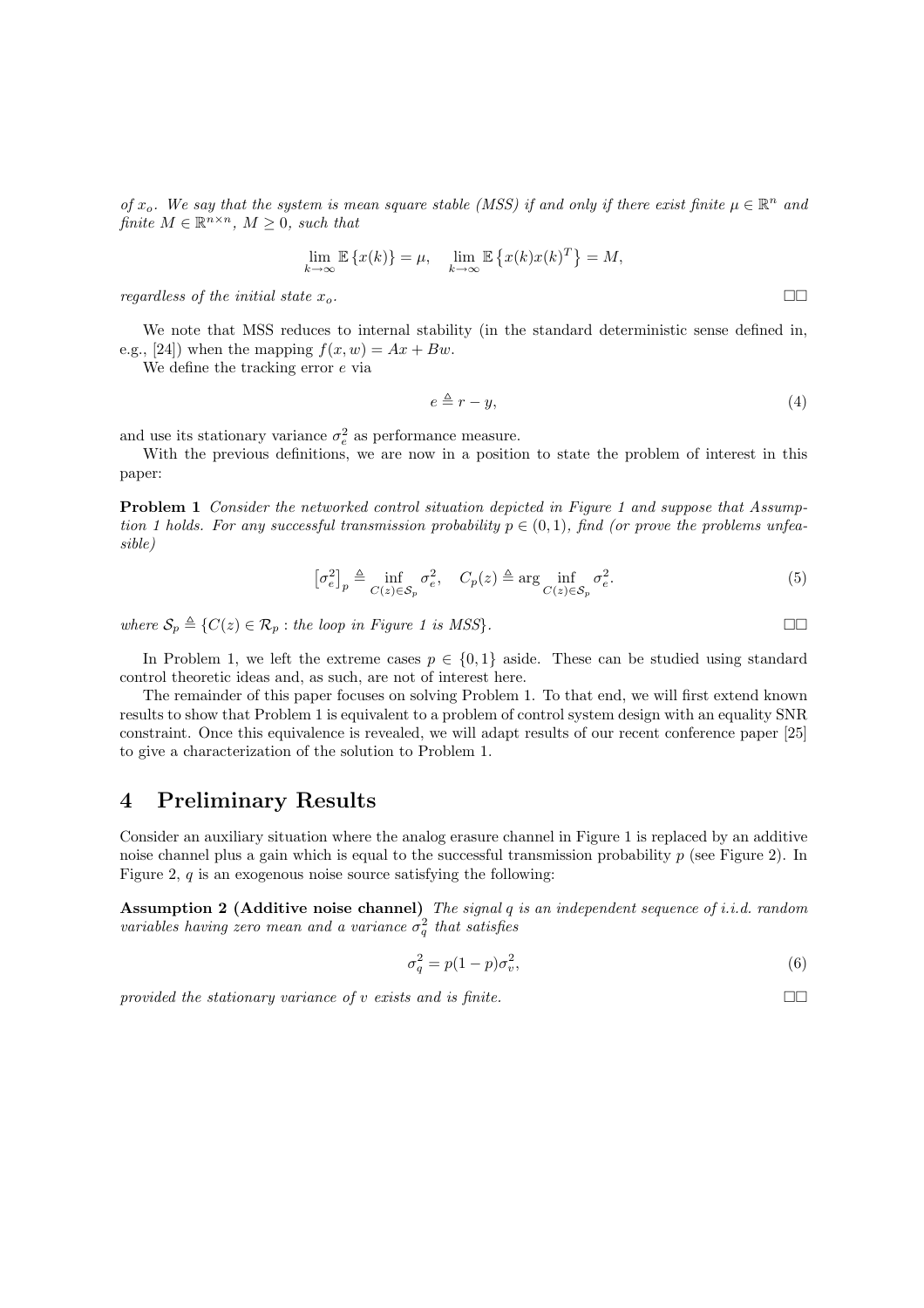of  $x_o$ . We say that the system is mean square stable (MSS) if and only if there exist finite  $\mu \in \mathbb{R}^n$  and finite  $M \in \mathbb{R}^{n \times n}$ ,  $M \geq 0$ , such that

$$
\lim_{k \to \infty} \mathbb{E} \left\{ x(k) \right\} = \mu, \quad \lim_{k \to \infty} \mathbb{E} \left\{ x(k) x(k)^T \right\} = M,
$$

regardless of the initial state  $x_o$ .

We note that MSS reduces to internal stability (in the standard deterministic sense defined in, e.g., [24]) when the mapping  $f(x, w) = Ax + Bw$ .

We define the tracking error  $e$  via

$$
e \triangleq r - y,\tag{4}
$$

and use its stationary variance  $\sigma_e^2$  as performance measure.

With the previous definitions, we are now in a position to state the problem of interest in this paper:

Problem 1 Consider the networked control situation depicted in Figure 1 and suppose that Assumption 1 holds. For any successful transmission probability  $p \in (0,1)$ , find (or prove the problems unfeasible)

$$
\left[\sigma_e^2\right]_p \triangleq \inf_{C(z)\in\mathcal{S}_p} \sigma_e^2, \quad C_p(z) \triangleq \arg\inf_{C(z)\in\mathcal{S}_p} \sigma_e^2. \tag{5}
$$

where  $S_p \triangleq \{C(z) \in \mathcal{R}_p : \text{the loop in Figure 1 is MSS}\}.$ 

In Problem 1, we left the extreme cases  $p \in \{0,1\}$  aside. These can be studied using standard control theoretic ideas and, as such, are not of interest here.

The remainder of this paper focuses on solving Problem 1. To that end, we will first extend known results to show that Problem 1 is equivalent to a problem of control system design with an equality SNR constraint. Once this equivalence is revealed, we will adapt results of our recent conference paper [25] to give a characterization of the solution to Problem 1.

### 4 Preliminary Results

Consider an auxiliary situation where the analog erasure channel in Figure 1 is replaced by an additive noise channel plus a gain which is equal to the successful transmission probability  $p$  (see Figure 2). In Figure 2,  $q$  is an exogenous noise source satisfying the following:

Assumption 2 (Additive noise channel) The signal  $q$  is an independent sequence of i.i.d. random variables having zero mean and a variance  $\sigma_q^2$  that satisfies

$$
\sigma_q^2 = p(1-p)\sigma_v^2,\tag{6}
$$

provided the stationary variance of v exists and is finite.  $\square$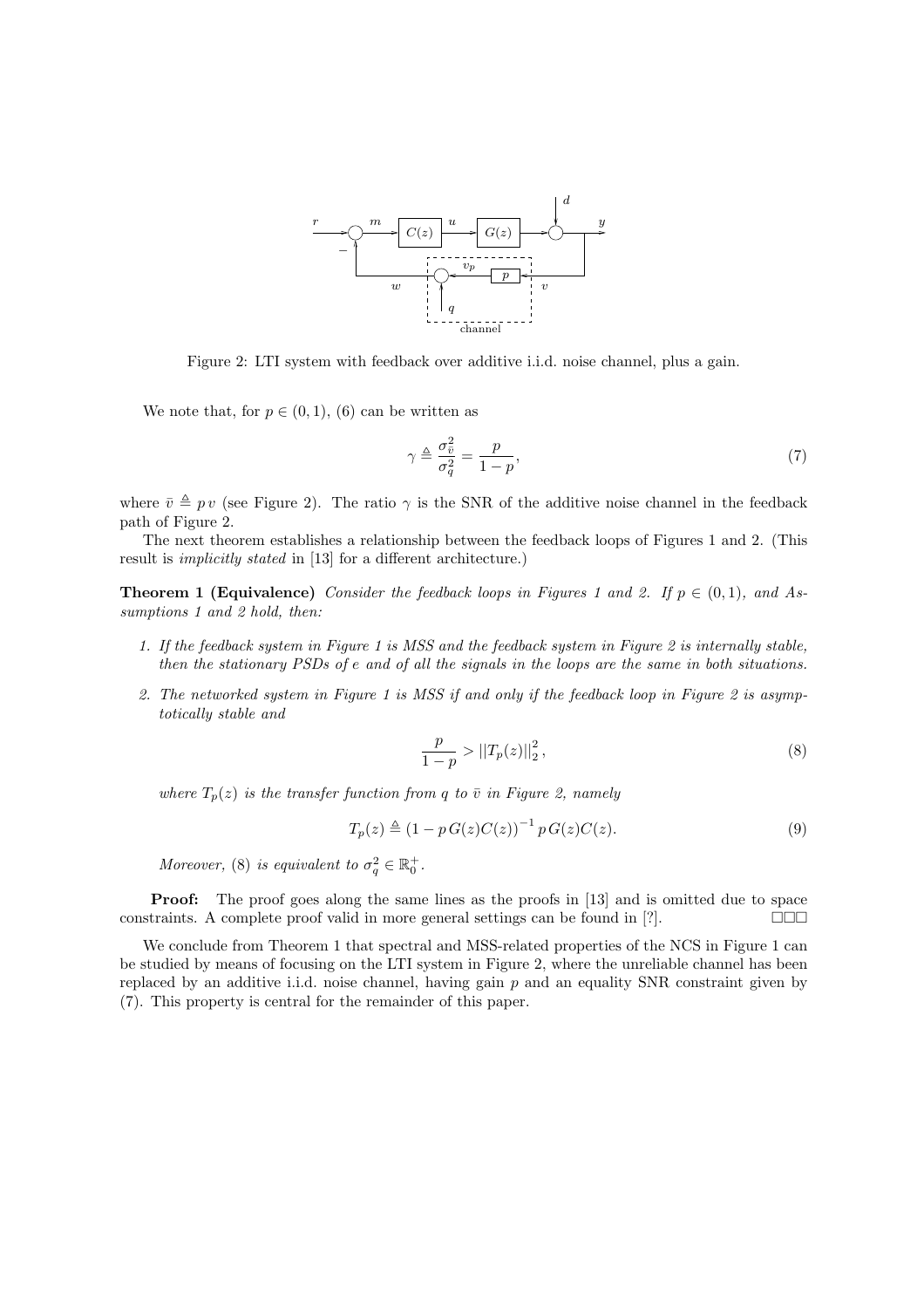

Figure 2: LTI system with feedback over additive i.i.d. noise channel, plus a gain.

We note that, for  $p \in (0,1)$ , (6) can be written as

$$
\gamma \triangleq \frac{\sigma_{\bar{v}}^2}{\sigma_q^2} = \frac{p}{1-p},\tag{7}
$$

where  $\bar{v} \triangleq p v$  (see Figure 2). The ratio  $\gamma$  is the SNR of the additive noise channel in the feedback path of Figure 2.

The next theorem establishes a relationship between the feedback loops of Figures 1 and 2. (This result is implicitly stated in [13] for a different architecture.)

**Theorem 1 (Equivalence)** Consider the feedback loops in Figures 1 and 2. If  $p \in (0,1)$ , and Assumptions 1 and 2 hold, then:

- 1. If the feedback system in Figure 1 is MSS and the feedback system in Figure 2 is internally stable, then the stationary PSDs of e and of all the signals in the loops are the same in both situations.
- 2. The networked system in Figure 1 is MSS if and only if the feedback loop in Figure 2 is asymptotically stable and

$$
\frac{p}{1-p} > ||T_p(z)||_2^2, \tag{8}
$$

where  $T_p(z)$  is the transfer function from q to  $\bar{v}$  in Figure 2, namely

$$
T_p(z) \triangleq (1 - p G(z) C(z))^{-1} p G(z) C(z).
$$
\n(9)

Moreover, (8) is equivalent to  $\sigma_q^2 \in \mathbb{R}_0^+$ .

**Proof:** The proof goes along the same lines as the proofs in [13] and is omitted due to space constraints. A complete proof valid in more general settings can be found in [?].  $\Box \Box$ 

We conclude from Theorem 1 that spectral and MSS-related properties of the NCS in Figure 1 can be studied by means of focusing on the LTI system in Figure 2, where the unreliable channel has been replaced by an additive i.i.d. noise channel, having gain  $p$  and an equality SNR constraint given by (7). This property is central for the remainder of this paper.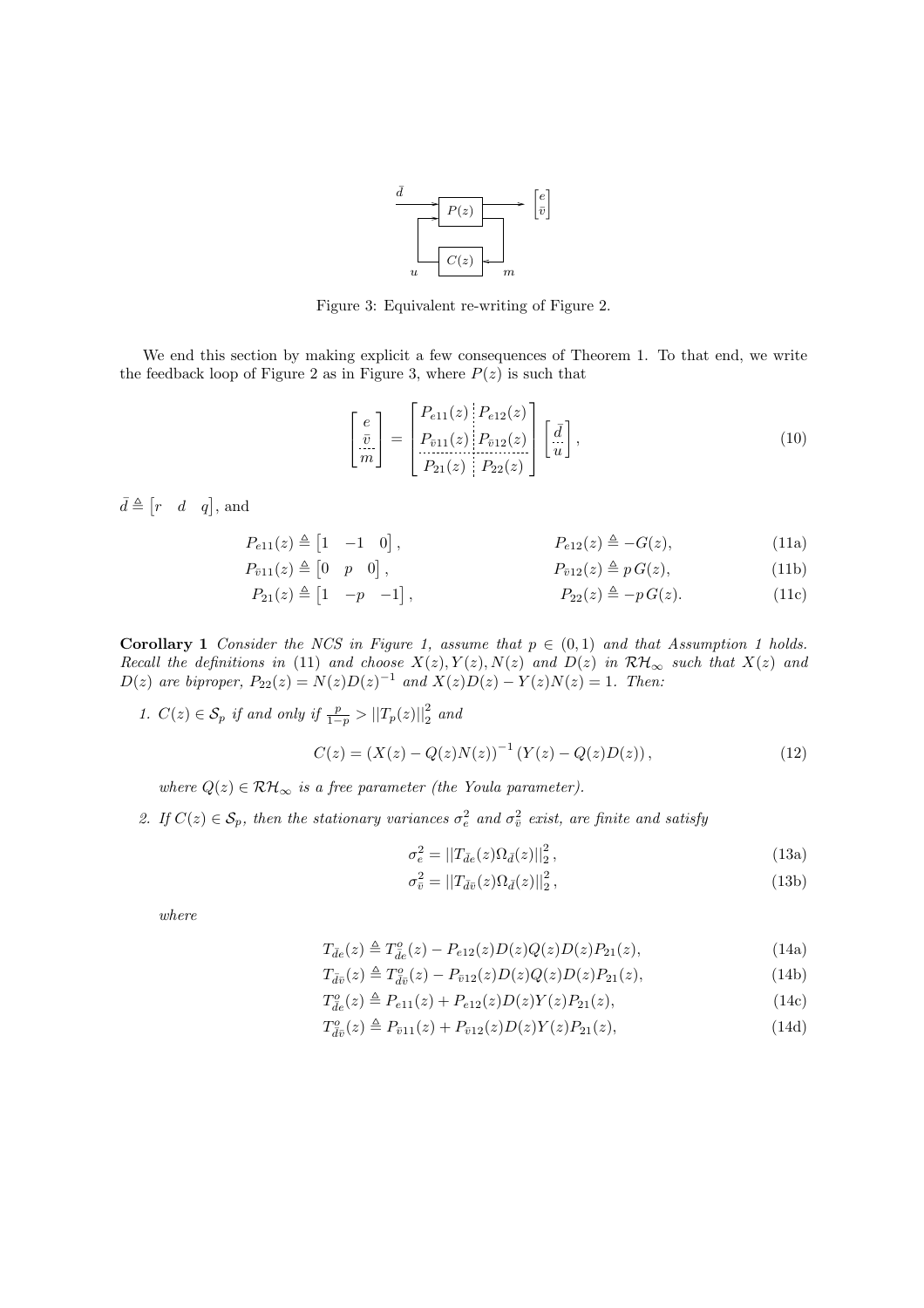

Figure 3: Equivalent re-writing of Figure 2.

We end this section by making explicit a few consequences of Theorem 1. To that end, we write the feedback loop of Figure 2 as in Figure 3, where  $P(z)$  is such that

$$
\begin{bmatrix} e \\ \frac{\bar{v}}{m} \end{bmatrix} = \begin{bmatrix} P_{e11}(z) & P_{e12}(z) \\ P_{\bar{v}11}(z) & P_{\bar{v}12}(z) \\ P_{21}(z) & P_{22}(z) \end{bmatrix} \begin{bmatrix} \bar{d} \\ \bar{u} \end{bmatrix},\tag{10}
$$

 $\bar{d} \triangleq [r \quad d \quad q]$ , and

$$
P_{e11}(z) \triangleq \begin{bmatrix} 1 & -1 & 0 \end{bmatrix}, \qquad P_{e12}(z) \triangleq -G(z), \qquad (11a)
$$

$$
P_{\bar{v}11}(z) \triangleq \begin{bmatrix} 0 & p & 0 \end{bmatrix}, \qquad P_{\bar{v}12}(z) \triangleq p \, G(z), \qquad (11b)
$$

$$
P_{21}(z) \triangleq \begin{bmatrix} 1 & -p & -1 \end{bmatrix}, \qquad P_{22}(z) \triangleq -p \, G(z). \tag{11c}
$$

**Corollary 1** Consider the NCS in Figure 1, assume that  $p \in (0,1)$  and that Assumption 1 holds. Recall the definitions in (11) and choose  $X(z), Y(z), N(z)$  and  $D(z)$  in  $\mathcal{RH}_{\infty}$  such that  $X(z)$  and  $D(z)$  are biproper,  $P_{22}(z) = N(z)D(z)^{-1}$  and  $X(z)D(z) - Y(z)N(z) = 1$ . Then:

1.  $C(z) \in \mathcal{S}_p$  if and only if  $\frac{p}{1-p} > ||T_p(z)||_2^2$  and

$$
C(z) = (X(z) - Q(z)N(z))^{-1} (Y(z) - Q(z)D(z)),
$$
\n(12)

where  $Q(z) \in \mathcal{RH}_{\infty}$  is a free parameter (the Youla parameter).

2. If  $C(z) \in S_p$ , then the stationary variances  $\sigma_e^2$  and  $\sigma_{\overline{v}}^2$  exist, are finite and satisfy

$$
\sigma_e^2 = ||T_{\bar{d}e}(z)\Omega_{\bar{d}}(z)||_2^2, \tag{13a}
$$

$$
\sigma_{\bar{v}}^2 = ||T_{\bar{d}\bar{v}}(z)\Omega_{\bar{d}}(z)||_2^2, \qquad (13b)
$$

where

$$
T_{\bar{d}e}(z) \triangleq T_{\bar{d}e}(z) - P_{e12}(z)D(z)Q(z)D(z)P_{21}(z),
$$
\n(14a)

$$
T_{\bar{d}\bar{v}}(z) \triangleq T_{\bar{d}\bar{v}}^o(z) - P_{\bar{v}12}(z)D(z)Q(z)D(z)P_{21}(z),\tag{14b}
$$

$$
T_{\bar{d}e}^o(z) \triangleq P_{e11}(z) + P_{e12}(z)D(z)Y(z)P_{21}(z), \qquad (14c)
$$

$$
T_{\bar{d}\bar{v}}^o(z) \triangleq P_{\bar{v}11}(z) + P_{\bar{v}12}(z)D(z)Y(z)P_{21}(z), \qquad (14d)
$$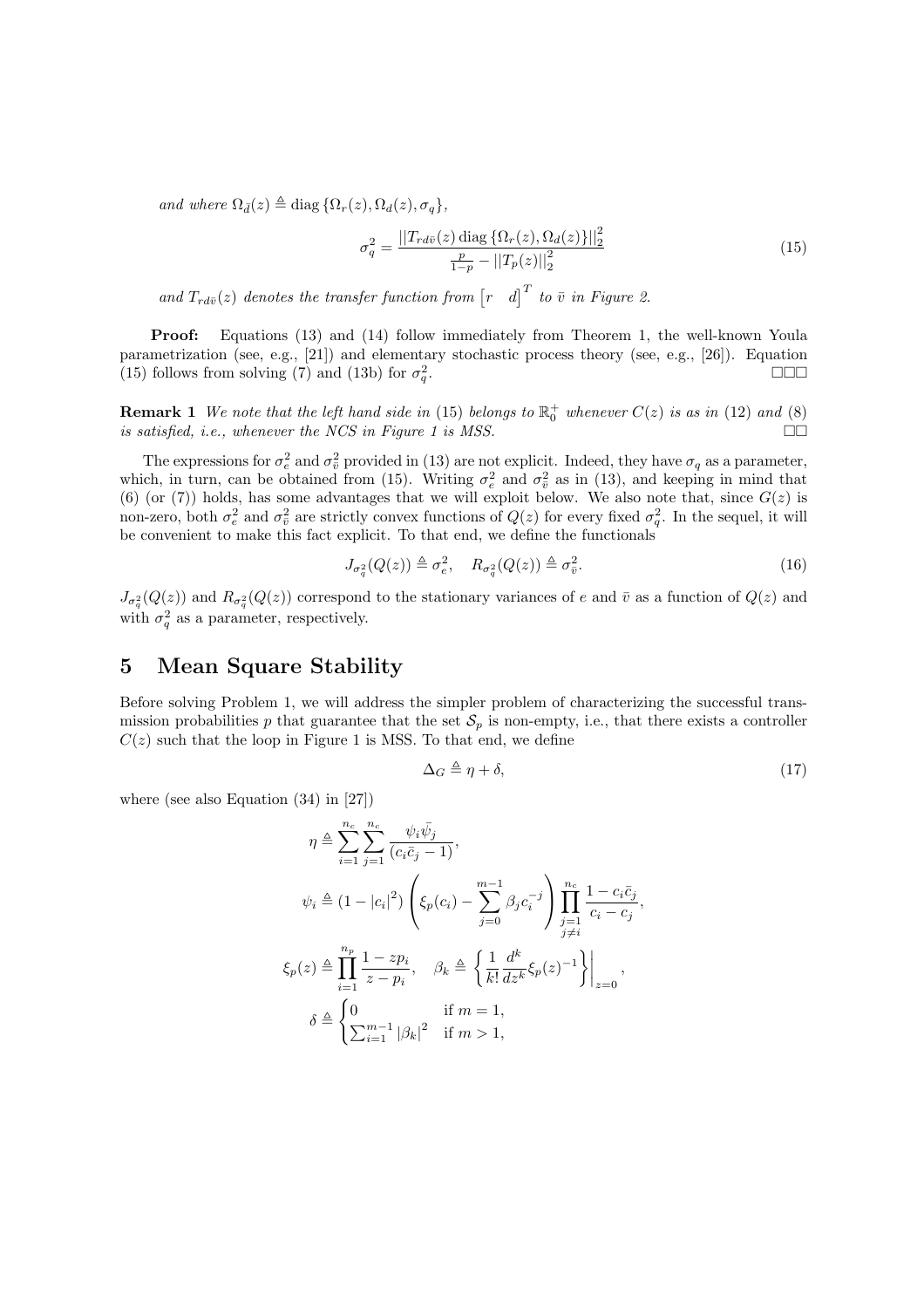and where  $\Omega_{\bar{d}}(z) \triangleq \text{diag} \left\{ \Omega_r(z), \Omega_d(z), \sigma_q \right\},$ 

$$
\sigma_q^2 = \frac{\|T_{rd\bar{v}}(z)\,\text{diag}\,\{\Omega_r(z),\Omega_d(z)\}\|^2_2}{\frac{p}{1-p} - \|T_p(z)\|^2_2} \tag{15}
$$

and  $T_{rd\bar{v}}(z)$  denotes the transfer function from  $\begin{bmatrix} r & d \end{bmatrix}^T$  to  $\bar{v}$  in Figure 2.

Proof: Equations (13) and (14) follow immediately from Theorem 1, the well-known Youla parametrization (see, e.g., [21]) and elementary stochastic process theory (see, e.g., [26]). Equation (15) follows from solving (7) and (13b) for  $\sigma_q^2$ . ¤¤¤

**Remark 1** We note that the left hand side in (15) belongs to  $\mathbb{R}^+_0$  whenever  $C(z)$  is as in (12) and (8) is satisfied, i.e., whenever the NCS in Figure 1 is MSS.  $\square$ 

The expressions for  $\sigma_e^2$  and  $\sigma_{\bar{v}}^2$  provided in (13) are not explicit. Indeed, they have  $\sigma_q$  as a parameter, which, in turn, can be obtained from (15). Writing  $\sigma_e^2$  and  $\sigma_{\bar{v}}^2$  as in (13), and keeping in mind that (6) (or (7)) holds, has some advantages that we will exploit below. We also note that, since  $G(z)$  is non-zero, both  $\sigma_e^2$  and  $\sigma_{\bar{v}}^2$  are strictly convex functions of  $Q(z)$  for every fixed  $\sigma_q^2$ . In the sequel, it will be convenient to make this fact explicit. To that end, we define the functionals

$$
J_{\sigma_q^2}(Q(z)) \triangleq \sigma_e^2, \quad R_{\sigma_q^2}(Q(z)) \triangleq \sigma_{\bar{v}}^2. \tag{16}
$$

 $J_{\sigma_q^2}(Q(z))$  and  $R_{\sigma_q^2}(Q(z))$  correspond to the stationary variances of e and  $\bar{v}$  as a function of  $Q(z)$  and with  $\sigma_q^2$  as a parameter, respectively.

## 5 Mean Square Stability

Before solving Problem 1, we will address the simpler problem of characterizing the successful transmission probabilities p that guarantee that the set  $S_p$  is non-empty, i.e., that there exists a controller  $C(z)$  such that the loop in Figure 1 is MSS. To that end, we define

$$
\Delta_G \triangleq \eta + \delta,\tag{17}
$$

where (see also Equation (34) in [27])

$$
\eta \triangleq \sum_{i=1}^{n_c} \sum_{j=1}^{n_c} \frac{\psi_i \bar{\psi}_j}{(c_i \bar{c}_j - 1)},
$$
  
\n
$$
\psi_i \triangleq (1 - |c_i|^2) \left( \xi_p(c_i) - \sum_{j=0}^{m-1} \beta_j c_i^{-j} \right) \prod_{\substack{j=1 \ j \neq i}}^{n_c} \frac{1 - c_i \bar{c}_j}{c_i - c_j},
$$
  
\n
$$
\xi_p(z) \triangleq \prod_{i=1}^{n_p} \frac{1 - z p_i}{z - p_i}, \quad \beta_k \triangleq \left\{ \frac{1}{k!} \frac{d^k}{dz^k} \xi_p(z)^{-1} \right\} \Big|_{z=0},
$$
  
\n
$$
\delta \triangleq \begin{cases} 0 & \text{if } m = 1, \\ \sum_{i=1}^{m-1} |\beta_k|^2 & \text{if } m > 1, \end{cases}
$$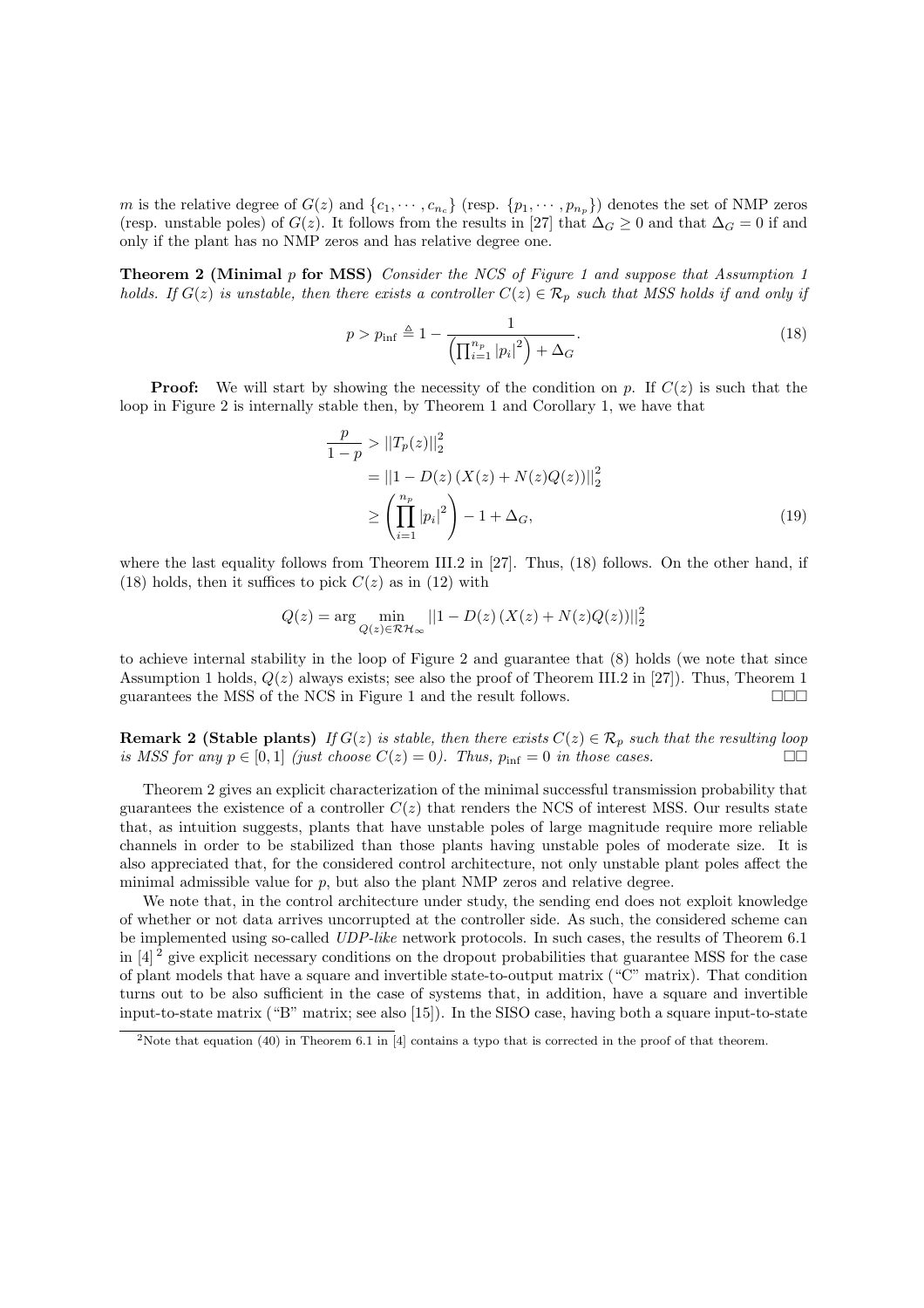m is the relative degree of  $G(z)$  and  $\{c_1, \dots, c_{n_c}\}\$  (resp.  $\{p_1, \dots, p_{n_p}\}\$ ) denotes the set of NMP zeros (resp. unstable poles) of  $G(z)$ . It follows from the results in [27] that  $\Delta_G \geq 0$  and that  $\Delta_G = 0$  if and only if the plant has no NMP zeros and has relative degree one.

**Theorem 2 (Minimal p for MSS)** Consider the NCS of Figure 1 and suppose that Assumption 1 holds. If  $G(z)$  is unstable, then there exists a controller  $C(z) \in \mathcal{R}_p$  such that MSS holds if and only if

$$
p > p_{\inf} \triangleq 1 - \frac{1}{\left(\prod_{i=1}^{n_p} |p_i|^2\right) + \Delta_G}.
$$
\n(18)

**Proof:** We will start by showing the necessity of the condition on p. If  $C(z)$  is such that the loop in Figure 2 is internally stable then, by Theorem 1 and Corollary 1, we have that

$$
\frac{p}{1-p} > ||T_p(z)||_2^2
$$
  
=  $||1 - D(z) (X(z) + N(z)Q(z))||_2^2$   

$$
\geq \left(\prod_{i=1}^{n_p} |p_i|^2\right) - 1 + \Delta_G,
$$
 (19)

where the last equality follows from Theorem III.2 in [27]. Thus, (18) follows. On the other hand, if (18) holds, then it suffices to pick  $C(z)$  as in (12) with

$$
Q(z) = \arg\min_{Q(z)\in\mathcal{RH}_{\infty}} ||1 - D(z) (X(z) + N(z)Q(z))||_2^2
$$

to achieve internal stability in the loop of Figure 2 and guarantee that (8) holds (we note that since Assumption 1 holds,  $Q(z)$  always exists; see also the proof of Theorem III.2 in [27]). Thus, Theorem 1 guarantees the MSS of the NCS in Figure 1 and the result follows.  $\Box \Box \Box$ 

**Remark 2 (Stable plants)** If  $G(z)$  is stable, then there exists  $C(z) \in \mathcal{R}_p$  such that the resulting loop is MSS for any  $p \in [0, 1]$  (just choose  $C(z) = 0$ ). Thus,  $p_{\text{inf}} = 0$  in those cases.

Theorem 2 gives an explicit characterization of the minimal successful transmission probability that guarantees the existence of a controller  $C(z)$  that renders the NCS of interest MSS. Our results state that, as intuition suggests, plants that have unstable poles of large magnitude require more reliable channels in order to be stabilized than those plants having unstable poles of moderate size. It is also appreciated that, for the considered control architecture, not only unstable plant poles affect the minimal admissible value for  $p$ , but also the plant NMP zeros and relative degree.

We note that, in the control architecture under study, the sending end does not exploit knowledge of whether or not data arrives uncorrupted at the controller side. As such, the considered scheme can be implemented using so-called UDP-like network protocols. In such cases, the results of Theorem 6.1 in  $[4]^2$  give explicit necessary conditions on the dropout probabilities that guarantee MSS for the case of plant models that have a square and invertible state-to-output matrix ("C" matrix). That condition turns out to be also sufficient in the case of systems that, in addition, have a square and invertible input-to-state matrix ("B" matrix; see also [15]). In the SISO case, having both a square input-to-state

<sup>2</sup>Note that equation (40) in Theorem 6.1 in [4] contains a typo that is corrected in the proof of that theorem.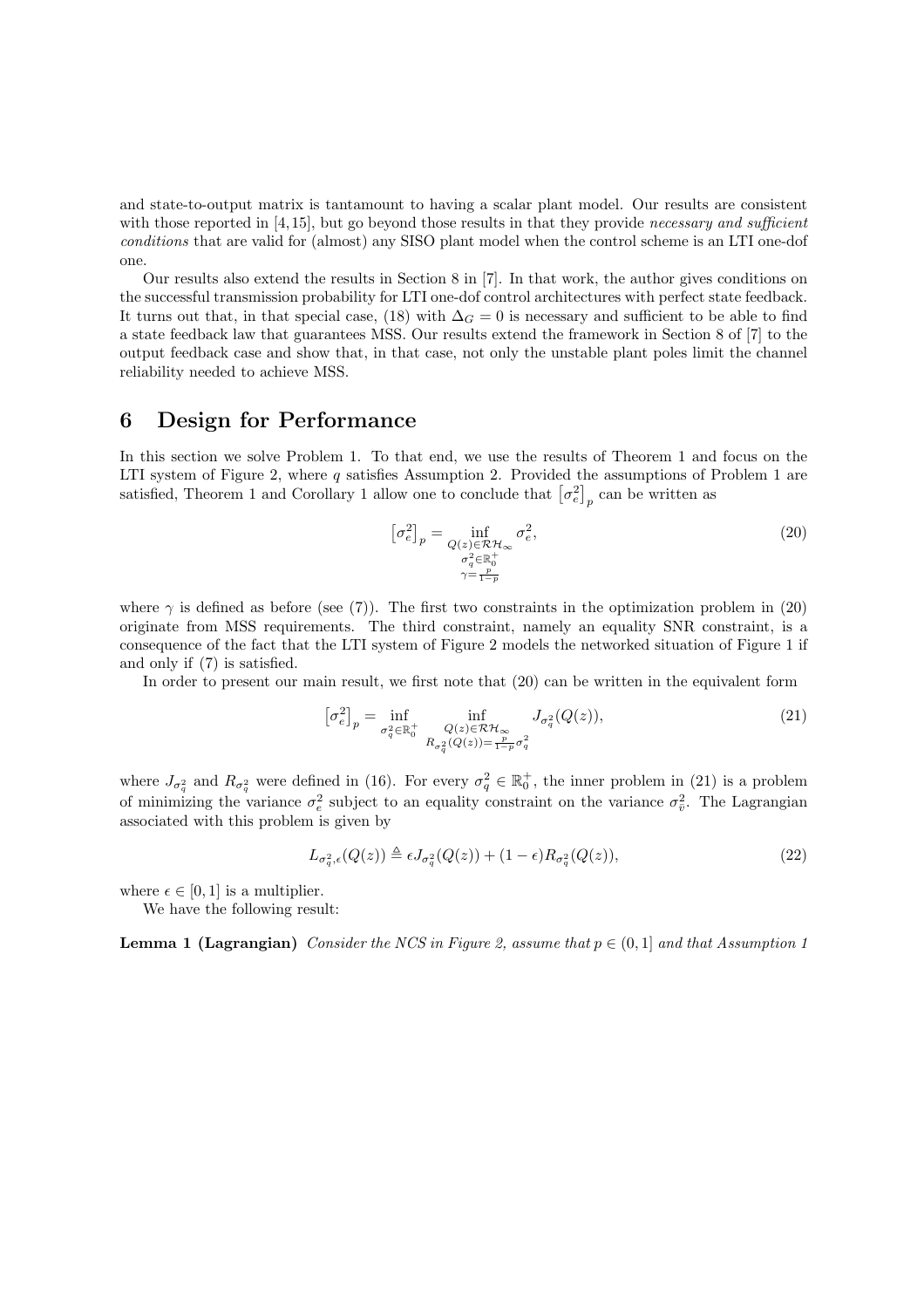and state-to-output matrix is tantamount to having a scalar plant model. Our results are consistent with those reported in  $[4,15]$ , but go beyond those results in that they provide *necessary and sufficient* conditions that are valid for (almost) any SISO plant model when the control scheme is an LTI one-dof one.

Our results also extend the results in Section 8 in [7]. In that work, the author gives conditions on the successful transmission probability for LTI one-dof control architectures with perfect state feedback. It turns out that, in that special case, (18) with  $\Delta_G = 0$  is necessary and sufficient to be able to find a state feedback law that guarantees MSS. Our results extend the framework in Section 8 of [7] to the output feedback case and show that, in that case, not only the unstable plant poles limit the channel reliability needed to achieve MSS.

### 6 Design for Performance

In this section we solve Problem 1. To that end, we use the results of Theorem 1 and focus on the LTI system of Figure 2, where q satisfies Assumption 2. Provided the assumptions of Problem 1 are LIT system of Figure 2, where q satisfies Assumption 2. Provided the assumptions of F<br>satisfied, Theorem 1 and Corollary 1 allow one to conclude that  $\left[\sigma_e^2\right]_p$  can be written as

$$
\left[\sigma_e^2\right]_p = \inf_{\substack{Q(z) \in \mathcal{RH}_\infty \\ \sigma_q^2 \in \mathbb{R}_0^+ \\ \gamma = \frac{p}{1-p}}} \sigma_e^2,\tag{20}
$$

where  $\gamma$  is defined as before (see (7)). The first two constraints in the optimization problem in (20) originate from MSS requirements. The third constraint, namely an equality SNR constraint, is a consequence of the fact that the LTI system of Figure 2 models the networked situation of Figure 1 if and only if (7) is satisfied.

In order to present our main result, we first note that (20) can be written in the equivalent form

$$
\left[\sigma_e^2\right]_p = \inf_{\sigma_q^2 \in \mathbb{R}_0^+} \inf_{\substack{Q(z) \in \mathcal{RH}_\infty \\ R_{\sigma_q^2}(Q(z)) = \frac{p}{1-p}\sigma_q^2}} J_{\sigma_q^2}(Q(z)),\tag{21}
$$

where  $J_{\sigma_q^2}$  and  $R_{\sigma_q^2}$  were defined in (16). For every  $\sigma_q^2 \in \mathbb{R}_0^+$ , the inner problem in (21) is a problem of minimizing the variance  $\sigma_e^2$  subject to an equality constraint on the variance  $\sigma_{\bar{v}}^2$ . The Lagrangian associated with this problem is given by

$$
L_{\sigma_q^2,\epsilon}(Q(z)) \triangleq \epsilon J_{\sigma_q^2}(Q(z)) + (1 - \epsilon) R_{\sigma_q^2}(Q(z)),\tag{22}
$$

where  $\epsilon \in [0, 1]$  is a multiplier.

We have the following result:

**Lemma 1 (Lagrangian)** Consider the NCS in Figure 2, assume that  $p \in (0, 1]$  and that Assumption 1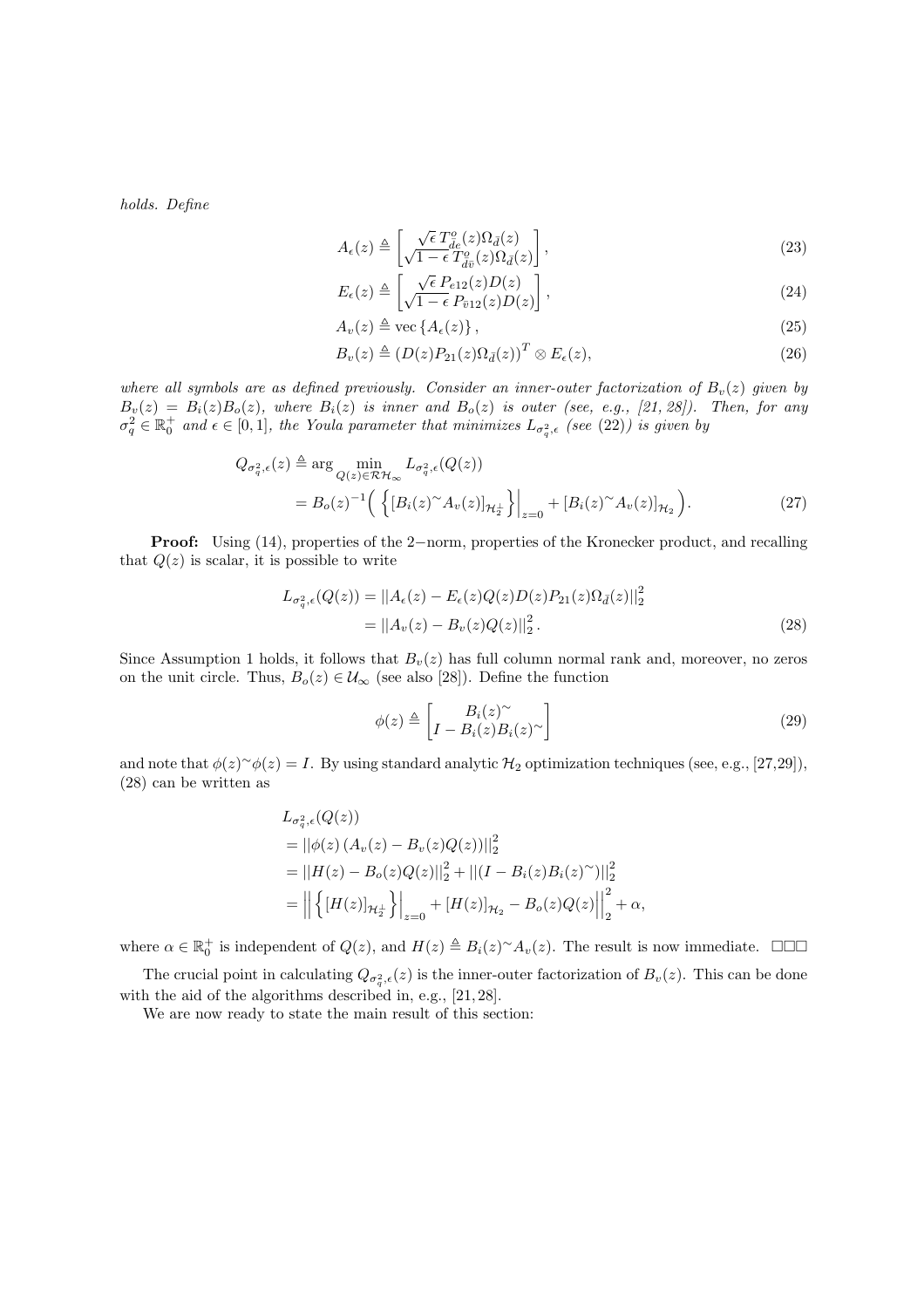holds. Define

$$
A_{\epsilon}(z) \triangleq \left[ \frac{\sqrt{\epsilon} T_{\bar{d}\epsilon}^{o}(z) \Omega_{\bar{d}}(z)}{\sqrt{1 - \epsilon} T_{\bar{d}\bar{v}}^{o}(z) \Omega_{\bar{d}}(z)} \right],
$$
\n(23)

$$
E_{\epsilon}(z) \triangleq \left[ \frac{\sqrt{\epsilon} P_{e12}(z) D(z)}{\sqrt{1 - \epsilon} P_{\bar{v}12}(z) D(z)} \right],
$$
\n(24)

$$
A_v(z) \triangleq \text{vec}\left\{A_{\epsilon}(z)\right\},\tag{25}
$$

$$
B_v(z) \triangleq (D(z)P_{21}(z)\Omega_{\bar{d}}(z))^T \otimes E_{\epsilon}(z),
$$
\n(26)

where all symbols are as defined previously. Consider an inner-outer factorization of  $B_n(z)$  given by  $B_v(z) = B_i(z)B_o(z)$ , where  $B_i(z)$  is inner and  $B_o(z)$  is outer (see, e.g., [21, 28]). Then, for any  $\sigma_q^2 \in \mathbb{R}_0^+$  and  $\epsilon \in [0,1]$ , the Youla parameter that minimizes  $L_{\sigma_q^2,\epsilon}$  (see (22)) is given by

$$
Q_{\sigma_q^2,\epsilon}(z) \triangleq \arg\min_{Q(z)\in\mathcal{RH}_{\infty}} L_{\sigma_q^2,\epsilon}(Q(z))
$$
  
= 
$$
B_o(z)^{-1} \Big( \left\{ [B_i(z)^\sim A_v(z)]_{\mathcal{H}_2^{\perp}} \right\} \Big|_{z=0} + [B_i(z)^\sim A_v(z)]_{\mathcal{H}_2} \Big). \tag{27}
$$

Proof: Using (14), properties of the 2−norm, properties of the Kronecker product, and recalling that  $Q(z)$  is scalar, it is possible to write

$$
L_{\sigma_q^2,\epsilon}(Q(z)) = ||A_{\epsilon}(z) - E_{\epsilon}(z)Q(z)D(z)P_{21}(z)\Omega_{\bar{d}}(z)||_2^2
$$
  
= 
$$
||A_v(z) - B_v(z)Q(z)||_2^2.
$$
 (28)

Since Assumption 1 holds, it follows that  $B_v(z)$  has full column normal rank and, moreover, no zeros on the unit circle. Thus,  $B_o(z) \in \mathcal{U}_{\infty}$  (see also [28]). Define the function

$$
\phi(z) \triangleq \begin{bmatrix} B_i(z)^\sim \\ I - B_i(z)B_i(z)^\sim \end{bmatrix} \tag{29}
$$

and note that  $\phi(z)^{\sim}\phi(z) = I$ . By using standard analytic  $\mathcal{H}_2$  optimization techniques (see, e.g., [27,29]), (28) can be written as

$$
L_{\sigma_q^2, \epsilon}(Q(z))
$$
  
=  $||\phi(z) (A_v(z) - B_v(z)Q(z))||_2^2$   
=  $||H(z) - B_o(z)Q(z)||_2^2 + ||(I - B_i(z)B_i(z)^\sim)||_2^2$   
=  $||\{[H(z)]_{\mathcal{H}_2}\}\Big|_{z=0} + [H(z)]_{\mathcal{H}_2} - B_o(z)Q(z)||_2^2 + \alpha,$ 

where  $\alpha \in \mathbb{R}_0^+$  is independent of  $Q(z)$ , and  $H(z) \triangleq B_i(z)^\sim A_v(z)$ . The result is now immediate.  $\Box \Box \Box$ 

The crucial point in calculating  $Q_{\sigma_q^2,\epsilon}(z)$  is the inner-outer factorization of  $B_v(z)$ . This can be done with the aid of the algorithms described in, e.g., [21, 28].

We are now ready to state the main result of this section: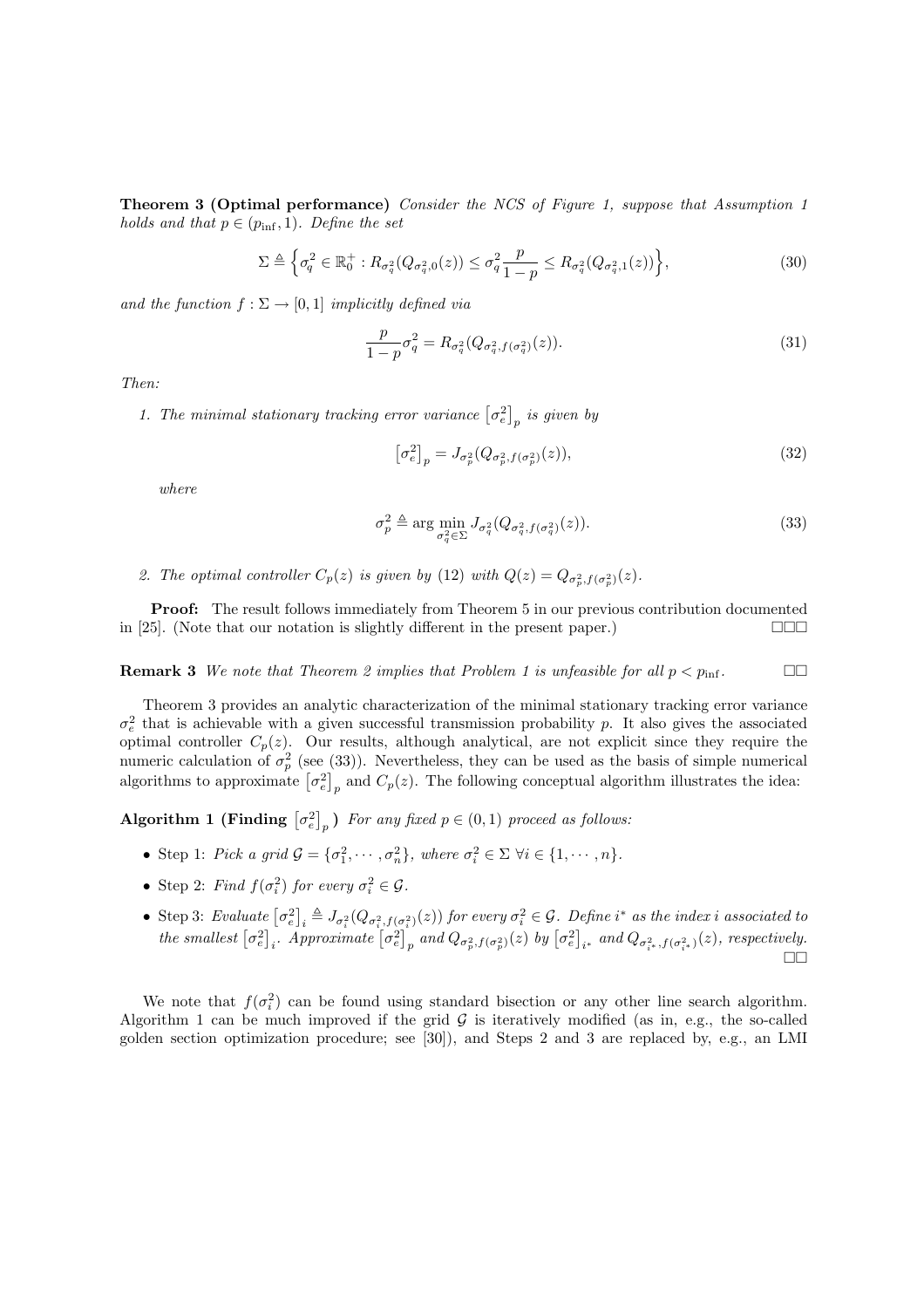Theorem 3 (Optimal performance) Consider the NCS of Figure 1, suppose that Assumption 1 holds and that  $p \in (p_{\text{inf}}, 1)$ . Define the set

$$
\Sigma \triangleq \left\{ \sigma_q^2 \in \mathbb{R}_0^+ : R_{\sigma_q^2}(Q_{\sigma_q^2,0}(z)) \le \sigma_q^2 \frac{p}{1-p} \le R_{\sigma_q^2}(Q_{\sigma_q^2,1}(z)) \right\},\tag{30}
$$

and the function  $f : \Sigma \to [0,1]$  implicitly defined via

$$
\frac{p}{1-p}\sigma_q^2 = R_{\sigma_q^2}(Q_{\sigma_q^2, f(\sigma_q^2)}(z)).
$$
\n(31)

Then:

1. The minimal stationary tracking error variance  $\lbrack \sigma_e^2 \rbrack$ ¤  $_p$  is given by

$$
\left[\sigma_e^2\right]_p = J_{\sigma_p^2}(Q_{\sigma_p^2, f(\sigma_p^2)}(z)),\tag{32}
$$

where

$$
\sigma_p^2 \triangleq \arg\min_{\sigma_q^2 \in \Sigma} J_{\sigma_q^2}(Q_{\sigma_q^2, f(\sigma_q^2)}(z)).
$$
\n(33)

2. The optimal controller  $C_p(z)$  is given by (12) with  $Q(z) = Q_{\sigma_p^2, f(\sigma_p^2)}(z)$ .

**Proof:** The result follows immediately from Theorem 5 in our previous contribution documented in [25]. (Note that our notation is slightly different in the present paper.)  $\Box \Box \Box$ 

**Remark 3** We note that Theorem 2 implies that Problem 1 is unfeasible for all  $p < p_{\text{inf}}$ .

Theorem 3 provides an analytic characterization of the minimal stationary tracking error variance  $\sigma_e^2$  that is achievable with a given successful transmission probability p. It also gives the associated optimal controller  $C_p(z)$ . Our results, although analytical, are not explicit since they require the numeric calculation of  $\sigma_p^2$  (see (33)). Nevertheless, they can be used as the basis of simple numerical numeric calculation of  $\sigma_p$  (see (33)). Nevertheless, they can be used as the basis of simple numerical algorithms to approximate  $[\sigma_e^2]_p$  and  $C_p(z)$ . The following conceptual algorithm illustrates the idea:

Algorithm 1 (Finding  $\left[\sigma_e^2\right]$ ¤ p) For any fixed  $p \in (0, 1)$  proceed as follows:

- Step 1: Pick a grid  $\mathcal{G} = {\{\sigma_1^2, \cdots, \sigma_n^2\}}$ , where  $\sigma_i^2 \in \Sigma \ \forall i \in \{1, \cdots, n\}$ .
- Step 2: Find  $f(\sigma_i^2)$  for every  $\sigma_i^2 \in \mathcal{G}$ .
- Step 3: Evaluate  $\lbrack \sigma^2_e \rbrack$ ¤ Step 3: Evaluate  $[\sigma_e^2]_i \triangleq J_{\sigma_i^2}(Q_{\sigma_i^2,f(\sigma_i^2)}(z))$  for every  $\sigma_i^2 \in \mathcal{G}$ . Define  $i^*$  as the index i associated to the smallest  $[\sigma_e^2]_i$ . Approximate  $[\sigma_e^2]_n$  and  $Q_{\sigma_n^2,f(\sigma_n^2)}(z)$  by  $[\sigma_e^2]_{i^*}$  and  $Q_{$ ∽<br>ד  $[e]_i = \sigma_i^2 \left( \mathcal{Q} \sigma_i^2, f \right)$ <br>  $i$ . Approximate  $\sigma_e^2$ J;<br>T  $\int_{p}^{2}$  and  $Q_{\sigma_p^2, f(\sigma_p^2)}(z)$  by  $\sigma_e^2$ י<br>י  $_{i^*}$  and  $Q_{\sigma_{i^*}^2, f(\sigma_{i^*}^2)}(z)$ , respectively.  $\Box$

We note that  $f(\sigma_i^2)$  can be found using standard bisection or any other line search algorithm. Algorithm 1 can be much improved if the grid  $G$  is iteratively modified (as in, e.g., the so-called golden section optimization procedure; see [30]), and Steps 2 and 3 are replaced by, e.g., an LMI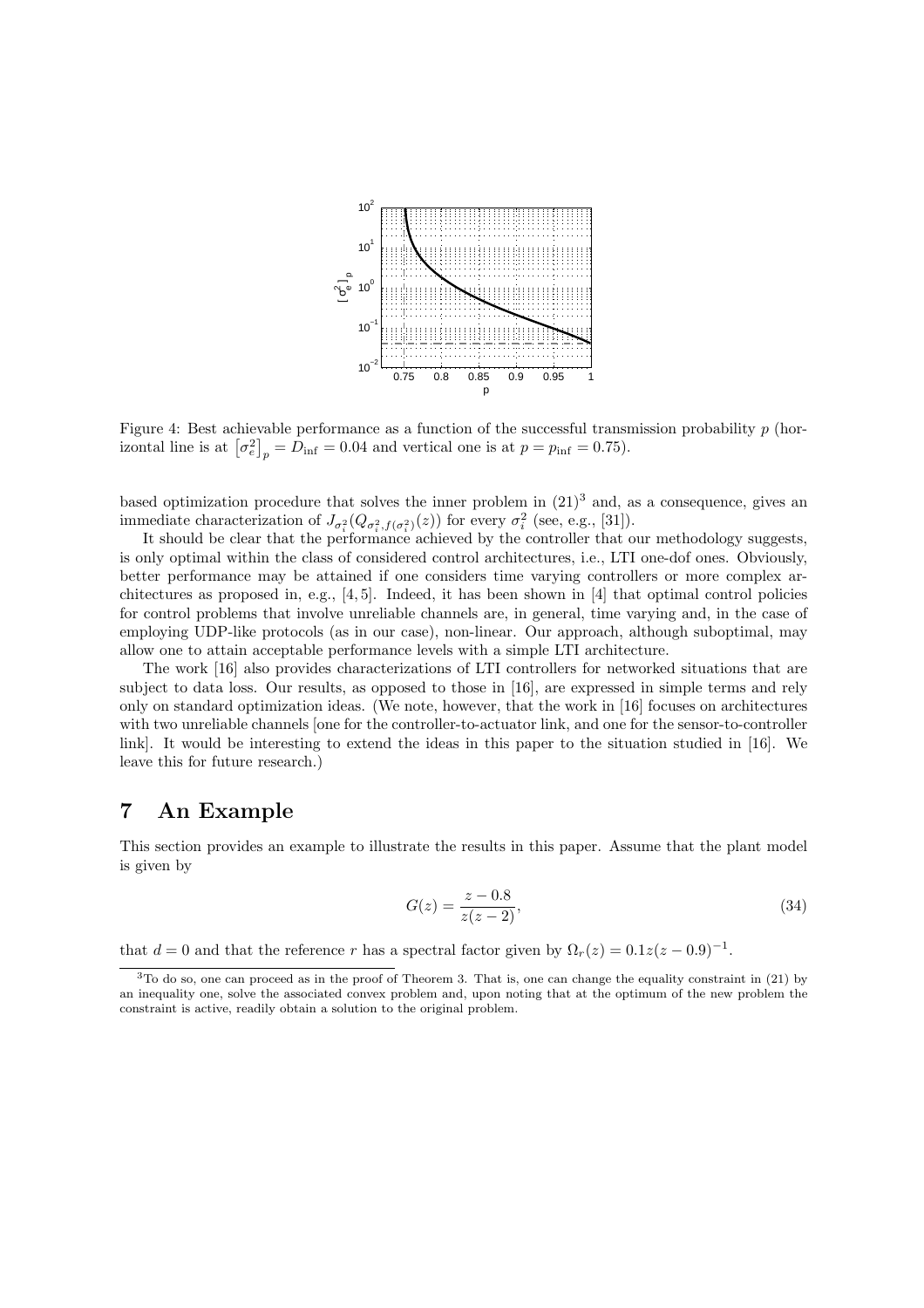

Figure 4: Best achievable performance as a function of the successful transmission probability  $p$  (hor-Figure 4: Best achievable performance as a function of the successful transf<br>izontal line is at  $\left[\sigma_e^2\right]_p = D_{\text{inf}} = 0.04$  and vertical one is at  $p = p_{\text{inf}} = 0.75$ ).

based optimization procedure that solves the inner problem in  $(21)^3$  and, as a consequence, gives an immediate characterization of  $J_{\sigma_i^2}(Q_{\sigma_i^2, f(\sigma_i^2)}(z))$  for every  $\sigma_i^2$  (see, e.g., [31]).

It should be clear that the performance achieved by the controller that our methodology suggests, is only optimal within the class of considered control architectures, i.e., LTI one-dof ones. Obviously, better performance may be attained if one considers time varying controllers or more complex architectures as proposed in, e.g.,  $[4, 5]$ . Indeed, it has been shown in  $[4]$  that optimal control policies for control problems that involve unreliable channels are, in general, time varying and, in the case of employing UDP-like protocols (as in our case), non-linear. Our approach, although suboptimal, may allow one to attain acceptable performance levels with a simple LTI architecture.

The work [16] also provides characterizations of LTI controllers for networked situations that are subject to data loss. Our results, as opposed to those in [16], are expressed in simple terms and rely only on standard optimization ideas. (We note, however, that the work in [16] focuses on architectures with two unreliable channels [one for the controller-to-actuator link, and one for the sensor-to-controller link]. It would be interesting to extend the ideas in this paper to the situation studied in [16]. We leave this for future research.)

# 7 An Example

This section provides an example to illustrate the results in this paper. Assume that the plant model is given by

$$
G(z) = \frac{z - 0.8}{z(z - 2)},
$$
\n(34)

that  $d = 0$  and that the reference r has a spectral factor given by  $\Omega_r(z) = 0.1z(z - 0.9)^{-1}$ .

<sup>&</sup>lt;sup>3</sup>To do so, one can proceed as in the proof of Theorem 3. That is, one can change the equality constraint in (21) by an inequality one, solve the associated convex problem and, upon noting that at the optimum of the new problem the constraint is active, readily obtain a solution to the original problem.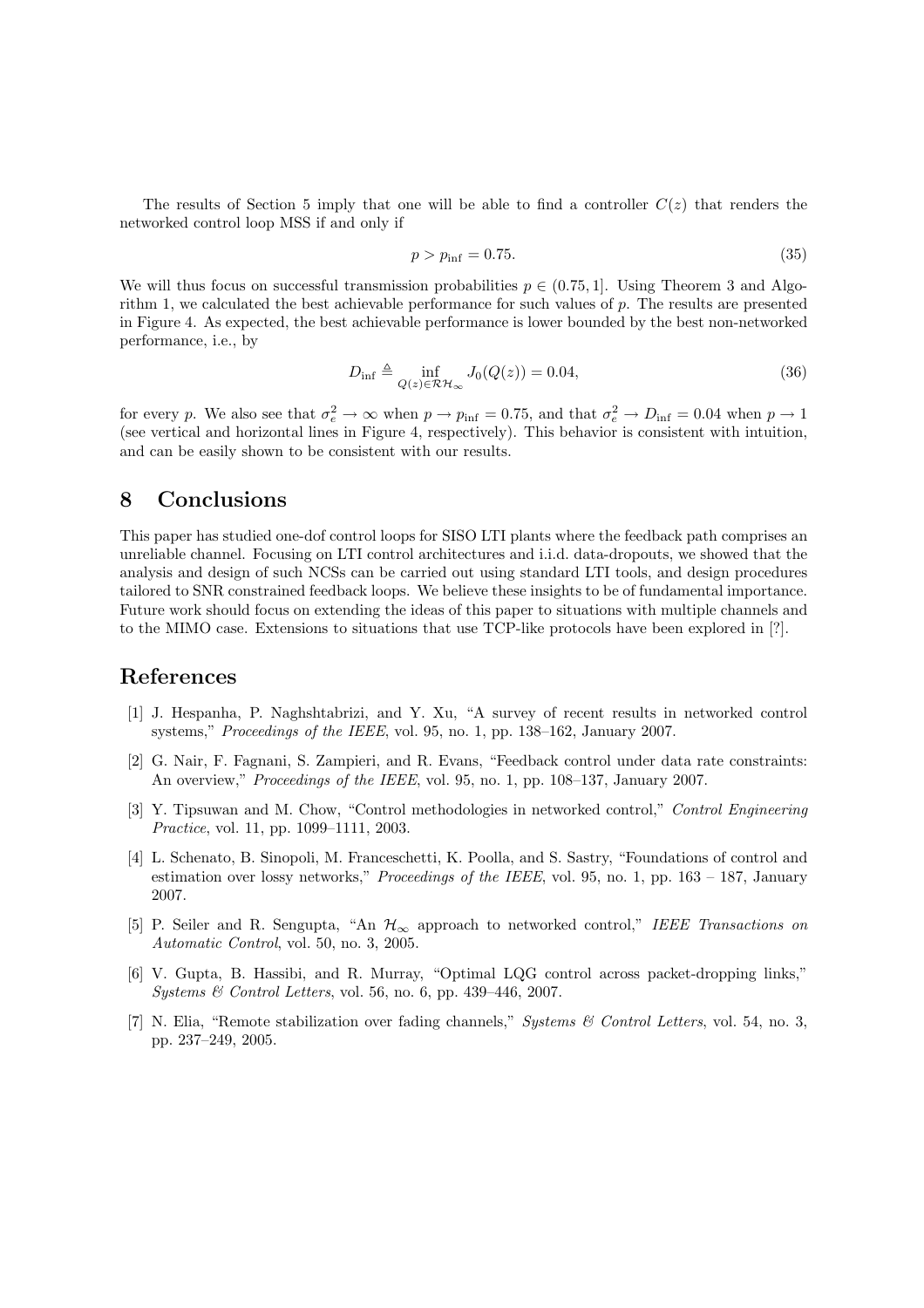The results of Section 5 imply that one will be able to find a controller  $C(z)$  that renders the networked control loop MSS if and only if

$$
p > p_{\rm inf} = 0.75. \tag{35}
$$

We will thus focus on successful transmission probabilities  $p \in (0.75, 1]$ . Using Theorem 3 and Algorithm 1, we calculated the best achievable performance for such values of p. The results are presented in Figure 4. As expected, the best achievable performance is lower bounded by the best non-networked performance, i.e., by

$$
D_{\inf} \triangleq \inf_{Q(z)\in\mathcal{RH}_{\infty}} J_0(Q(z)) = 0.04,\tag{36}
$$

for every p. We also see that  $\sigma_e^2 \to \infty$  when  $p \to p_{\text{inf}} = 0.75$ , and that  $\sigma_e^2 \to D_{\text{inf}} = 0.04$  when  $p \to 1$ (see vertical and horizontal lines in Figure 4, respectively). This behavior is consistent with intuition, and can be easily shown to be consistent with our results.

# 8 Conclusions

This paper has studied one-dof control loops for SISO LTI plants where the feedback path comprises an unreliable channel. Focusing on LTI control architectures and i.i.d. data-dropouts, we showed that the analysis and design of such NCSs can be carried out using standard LTI tools, and design procedures tailored to SNR constrained feedback loops. We believe these insights to be of fundamental importance. Future work should focus on extending the ideas of this paper to situations with multiple channels and to the MIMO case. Extensions to situations that use TCP-like protocols have been explored in [?].

### References

- [1] J. Hespanha, P. Naghshtabrizi, and Y. Xu, "A survey of recent results in networked control systems," *Proceedings of the IEEE*, vol. 95, no. 1, pp. 138–162, January 2007.
- [2] G. Nair, F. Fagnani, S. Zampieri, and R. Evans, "Feedback control under data rate constraints: An overview," *Proceedings of the IEEE*, vol. 95, no. 1, pp. 108–137, January 2007.
- [3] Y. Tipsuwan and M. Chow, "Control methodologies in networked control," Control Engineering Practice, vol. 11, pp. 1099–1111, 2003.
- [4] L. Schenato, B. Sinopoli, M. Franceschetti, K. Poolla, and S. Sastry, "Foundations of control and estimation over lossy networks," *Proceedings of the IEEE*, vol. 95, no. 1, pp.  $163 - 187$ , January 2007.
- [5] P. Seiler and R. Sengupta, "An  $\mathcal{H}_{\infty}$  approach to networked control," IEEE Transactions on Automatic Control, vol. 50, no. 3, 2005.
- [6] V. Gupta, B. Hassibi, and R. Murray, "Optimal LQG control across packet-dropping links," Systems & Control Letters, vol. 56, no. 6, pp. 439–446, 2007.
- [7] N. Elia, "Remote stabilization over fading channels," Systems & Control Letters, vol. 54, no. 3, pp. 237–249, 2005.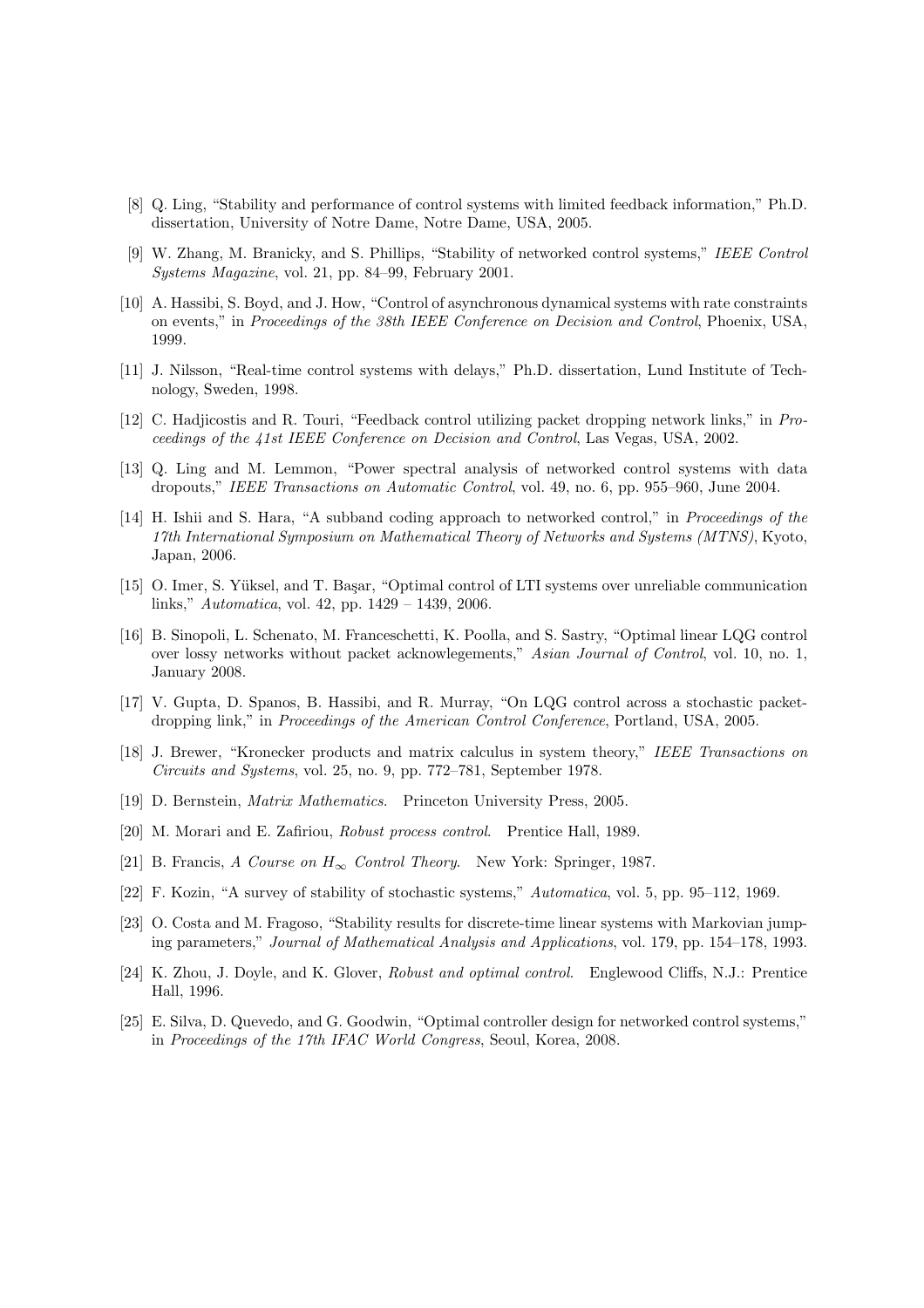- [8] Q. Ling, "Stability and performance of control systems with limited feedback information," Ph.D. dissertation, University of Notre Dame, Notre Dame, USA, 2005.
- [9] W. Zhang, M. Branicky, and S. Phillips, "Stability of networked control systems," IEEE Control Systems Magazine, vol. 21, pp. 84–99, February 2001.
- [10] A. Hassibi, S. Boyd, and J. How, "Control of asynchronous dynamical systems with rate constraints on events," in Proceedings of the 38th IEEE Conference on Decision and Control, Phoenix, USA, 1999.
- [11] J. Nilsson, "Real-time control systems with delays," Ph.D. dissertation, Lund Institute of Technology, Sweden, 1998.
- [12] C. Hadjicostis and R. Touri, "Feedback control utilizing packet dropping network links," in Proceedings of the 41st IEEE Conference on Decision and Control, Las Vegas, USA, 2002.
- [13] Q. Ling and M. Lemmon, "Power spectral analysis of networked control systems with data dropouts," IEEE Transactions on Automatic Control, vol. 49, no. 6, pp. 955–960, June 2004.
- [14] H. Ishii and S. Hara, "A subband coding approach to networked control," in Proceedings of the 17th International Symposium on Mathematical Theory of Networks and Systems (MTNS), Kyoto, Japan, 2006.
- [15] O. Imer, S. Yüksel, and T. Başar, "Optimal control of LTI systems over unreliable communication links," Automatica, vol. 42, pp. 1429 – 1439, 2006.
- [16] B. Sinopoli, L. Schenato, M. Franceschetti, K. Poolla, and S. Sastry, "Optimal linear LQG control over lossy networks without packet acknowlegements," Asian Journal of Control, vol. 10, no. 1, January 2008.
- [17] V. Gupta, D. Spanos, B. Hassibi, and R. Murray, "On LQG control across a stochastic packetdropping link," in Proceedings of the American Control Conference, Portland, USA, 2005.
- [18] J. Brewer, "Kronecker products and matrix calculus in system theory," IEEE Transactions on Circuits and Systems, vol. 25, no. 9, pp. 772–781, September 1978.
- [19] D. Bernstein, Matrix Mathematics. Princeton University Press, 2005.
- [20] M. Morari and E. Zafiriou, Robust process control. Prentice Hall, 1989.
- [21] B. Francis, A Course on  $H_{\infty}$  Control Theory. New York: Springer, 1987.
- [22] F. Kozin, "A survey of stability of stochastic systems," Automatica, vol. 5, pp. 95–112, 1969.
- [23] O. Costa and M. Fragoso, "Stability results for discrete-time linear systems with Markovian jumping parameters," Journal of Mathematical Analysis and Applications, vol. 179, pp. 154–178, 1993.
- [24] K. Zhou, J. Doyle, and K. Glover, Robust and optimal control. Englewood Cliffs, N.J.: Prentice Hall, 1996.
- [25] E. Silva, D. Quevedo, and G. Goodwin, "Optimal controller design for networked control systems," in Proceedings of the 17th IFAC World Congress, Seoul, Korea, 2008.